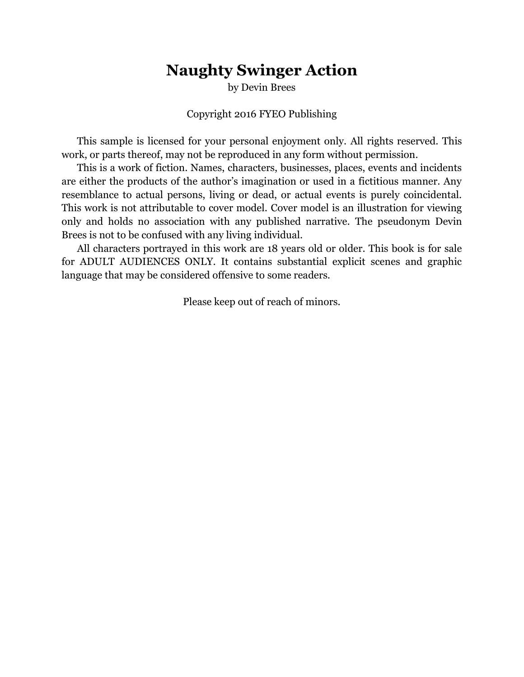## **Naughty Swinger Action**

by Devin Brees

## Copyright 2016 FYEO Publishing

This sample is licensed for your personal enjoyment only. All rights reserved. This work, or parts thereof, may not be reproduced in any form without permission.

This is a work of fiction. Names, characters, businesses, places, events and incidents are either the products of the author's imagination or used in a fictitious manner. Any resemblance to actual persons, living or dead, or actual events is purely coincidental. This work is not attributable to cover model. Cover model is an illustration for viewing only and holds no association with any published narrative. The pseudonym Devin Brees is not to be confused with any living individual.

All characters portrayed in this work are 18 years old or older. This book is for sale for ADULT AUDIENCES ONLY. It contains substantial explicit scenes and graphic language that may be considered offensive to some readers.

Please keep out of reach of minors.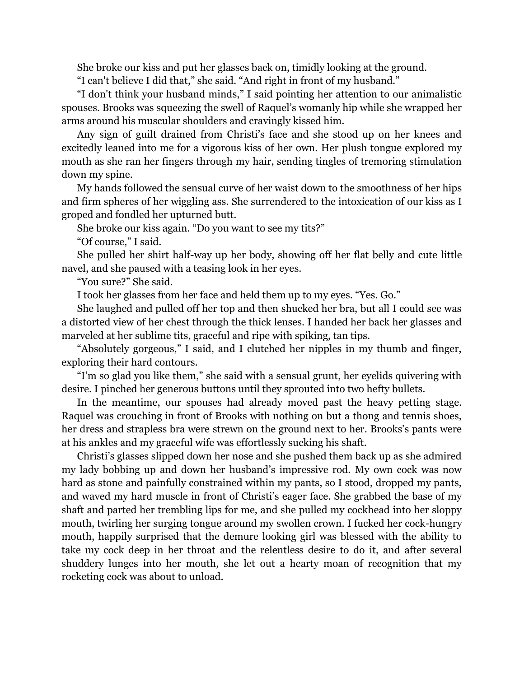She broke our kiss and put her glasses back on, timidly looking at the ground.

"I can't believe I did that," she said. "And right in front of my husband."

"I don't think your husband minds," I said pointing her attention to our animalistic spouses. Brooks was squeezing the swell of Raquel's womanly hip while she wrapped her arms around his muscular shoulders and cravingly kissed him.

Any sign of guilt drained from Christi's face and she stood up on her knees and excitedly leaned into me for a vigorous kiss of her own. Her plush tongue explored my mouth as she ran her fingers through my hair, sending tingles of tremoring stimulation down my spine.

My hands followed the sensual curve of her waist down to the smoothness of her hips and firm spheres of her wiggling ass. She surrendered to the intoxication of our kiss as I groped and fondled her upturned butt.

She broke our kiss again. "Do you want to see my tits?"

"Of course," I said.

She pulled her shirt half-way up her body, showing off her flat belly and cute little navel, and she paused with a teasing look in her eyes.

"You sure?" She said.

I took her glasses from her face and held them up to my eyes. "Yes. Go."

She laughed and pulled off her top and then shucked her bra, but all I could see was a distorted view of her chest through the thick lenses. I handed her back her glasses and marveled at her sublime tits, graceful and ripe with spiking, tan tips.

"Absolutely gorgeous," I said, and I clutched her nipples in my thumb and finger, exploring their hard contours.

"I'm so glad you like them," she said with a sensual grunt, her eyelids quivering with desire. I pinched her generous buttons until they sprouted into two hefty bullets.

In the meantime, our spouses had already moved past the heavy petting stage. Raquel was crouching in front of Brooks with nothing on but a thong and tennis shoes, her dress and strapless bra were strewn on the ground next to her. Brooks's pants were at his ankles and my graceful wife was effortlessly sucking his shaft.

Christi's glasses slipped down her nose and she pushed them back up as she admired my lady bobbing up and down her husband's impressive rod. My own cock was now hard as stone and painfully constrained within my pants, so I stood, dropped my pants, and waved my hard muscle in front of Christi's eager face. She grabbed the base of my shaft and parted her trembling lips for me, and she pulled my cockhead into her sloppy mouth, twirling her surging tongue around my swollen crown. I fucked her cock-hungry mouth, happily surprised that the demure looking girl was blessed with the ability to take my cock deep in her throat and the relentless desire to do it, and after several shuddery lunges into her mouth, she let out a hearty moan of recognition that my rocketing cock was about to unload.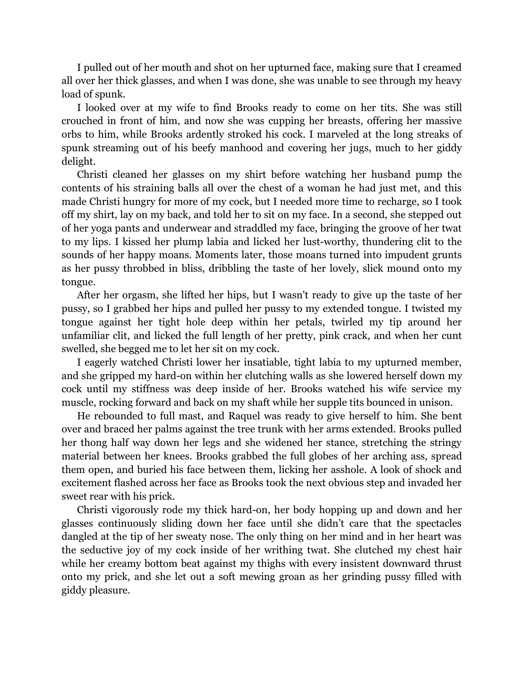I pulled out of her mouth and shot on her upturned face, making sure that I creamed all over her thick glasses, and when I was done, she was unable to see through my heavy load of spunk.

I looked over at my wife to find Brooks ready to come on her tits. She was still crouched in front of him, and now she was cupping her breasts, offering her massive orbs to him, while Brooks ardently stroked his cock. I marveled at the long streaks of spunk streaming out of his beefy manhood and covering her jugs, much to her giddy delight.

Christi cleaned her glasses on my shirt before watching her husband pump the contents of his straining balls all over the chest of a woman he had just met, and this made Christi hungry for more of my cock, but I needed more time to recharge, so I took off my shirt, lay on my back, and told her to sit on my face. In a second, she stepped out of her yoga pants and underwear and straddled my face, bringing the groove of her twat to my lips. I kissed her plump labia and licked her lust-worthy, thundering clit to the sounds of her happy moans. Moments later, those moans turned into impudent grunts as her pussy throbbed in bliss, dribbling the taste of her lovely, slick mound onto my tongue.

After her orgasm, she lifted her hips, but I wasn't ready to give up the taste of her pussy, so I grabbed her hips and pulled her pussy to my extended tongue. I twisted my tongue against her tight hole deep within her petals, twirled my tip around her unfamiliar clit, and licked the full length of her pretty, pink crack, and when her cunt swelled, she begged me to let her sit on my cock.

I eagerly watched Christi lower her insatiable, tight labia to my upturned member, and she gripped my hard-on within her clutching walls as she lowered herself down my cock until my stiffness was deep inside of her. Brooks watched his wife service my muscle, rocking forward and back on my shaft while her supple tits bounced in unison.

He rebounded to full mast, and Raquel was ready to give herself to him. She bent over and braced her palms against the tree trunk with her arms extended. Brooks pulled her thong half way down her legs and she widened her stance, stretching the stringy material between her knees. Brooks grabbed the full globes of her arching ass, spread them open, and buried his face between them, licking her asshole. A look of shock and excitement flashed across her face as Brooks took the next obvious step and invaded her sweet rear with his prick.

Christi vigorously rode my thick hard-on, her body hopping up and down and her glasses continuously sliding down her face until she didn't care that the spectacles dangled at the tip of her sweaty nose. The only thing on her mind and in her heart was the seductive joy of my cock inside of her writhing twat. She clutched my chest hair while her creamy bottom beat against my thighs with every insistent downward thrust onto my prick, and she let out a soft mewing groan as her grinding pussy filled with giddy pleasure.